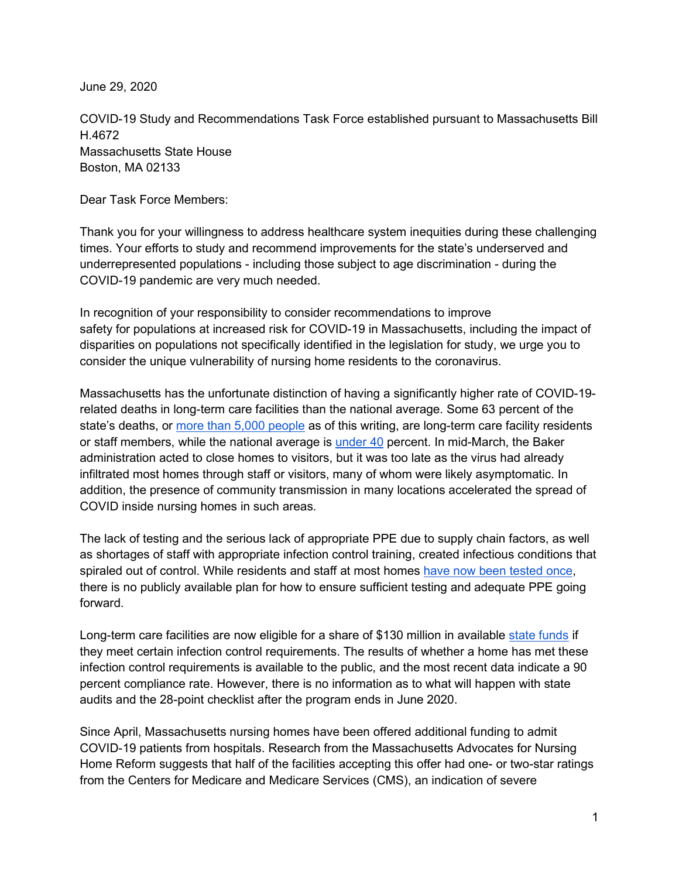June 29, 2020

COVID-19 Study and Recommendations Task Force established pursuant to Massachusetts Bill H.4672 Massachusetts State House Boston, MA 02133

Dear Task Force Members:

Thank you for your willingness to address healthcare system inequities during these challenging times. Your efforts to study and recommend improvements for the state's underserved and underrepresented populations - including those subject to age discrimination - during the COVID-19 pandemic are very much needed.

In recognition of your responsibility to consider recommendations to improve safety for populations at increased risk for COVID-19 in Massachusetts, including the impact of disparities on populations not specifically identified in the legislation for study, we urge you to consider the unique vulnerability of nursing home residents to the coronavirus.

Massachusetts has the unfortunate distinction of having a significantly higher rate of COVID-19 related deaths in long-term care facilities than the national average. Some 63 percent of the state's deaths, or [more than 5,000 people](https://www.mass.gov/doc/covid-19-dashboard-june-24-2020/download) as of this writing, are long-term care facility residents or staff members, while the national average is [under 40](https://www.nbcnews.com/health/health-news/government-counts-26-000-covid-19-deaths-nursing-homes-s-n1221496) percent. In mid-March, the Baker administration acted to close homes to visitors, but it was too late as the virus had already infiltrated most homes through staff or visitors, many of whom were likely asymptomatic. In addition, the presence of community transmission in many locations accelerated the spread of COVID inside nursing homes in such areas.

The lack of testing and the serious lack of appropriate PPE due to supply chain factors, as well as shortages of staff with appropriate infection control training, created infectious conditions that spiraled out of control. While residents and staff at most homes [have now been tested once,](https://www.bostonglobe.com/2020/05/28/metro/almost-all-mass-nursing-homes-have-tested-most-staff-residents/) there is no publicly available plan for how to ensure sufficient testing and adequate PPE going forward.

Long-term care facilities are now eligible for a share of \$130 million in available [state funds](https://www.enterprisenews.com/news/20200427/governor-announces-130-million-in-funding-mandatory-testing-for-massachusetts-nursing-homes) if they meet certain infection control requirements. The results of whether a home has met these infection control requirements is available to the public, and the most recent data indicate a 90 percent compliance rate. However, there is no information as to what will happen with state audits and the 28-point checklist after the program ends in June 2020.

Since April, Massachusetts nursing homes have been offered additional funding to admit COVID-19 patients from hospitals. Research from the Massachusetts Advocates for Nursing Home Reform suggests that half of the facilities accepting this offer had one- or two-star ratings from the Centers for Medicare and Medicare Services (CMS), an indication of severe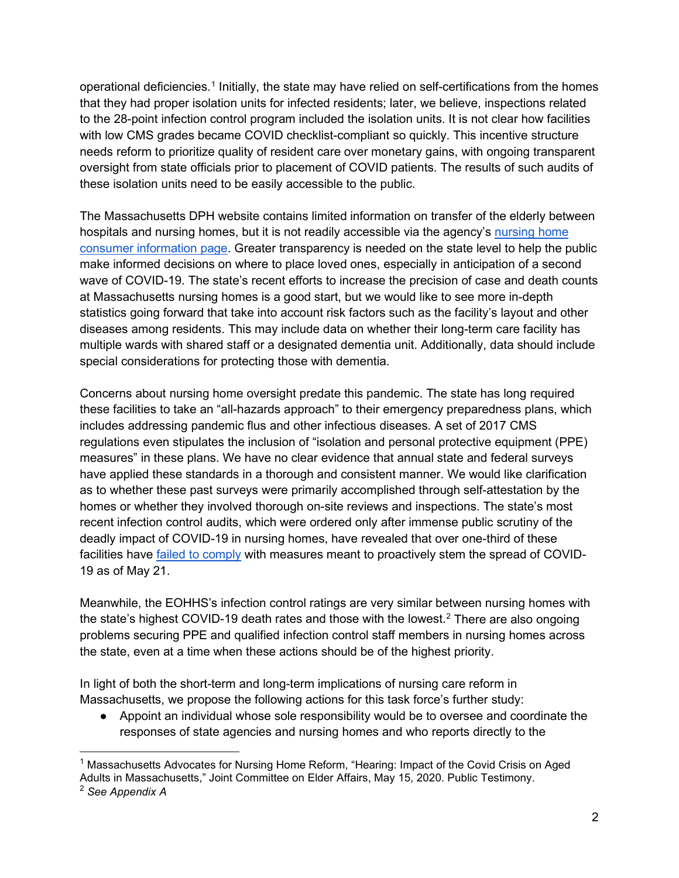operational deficiencies.<sup>[1](#page-1-0)</sup> Initially, the state may have relied on self-certifications from the homes that they had proper isolation units for infected residents; later, we believe, inspections related to the 28-point infection control program included the isolation units. It is not clear how facilities with low CMS grades became COVID checklist-compliant so quickly. This incentive structure needs reform to prioritize quality of resident care over monetary gains, with ongoing transparent oversight from state officials prior to placement of COVID patients. The results of such audits of these isolation units need to be easily accessible to the public.

The Massachusetts DPH website contains limited information on transfer of the elderly between hospitals and nursing homes, but it is not readily accessible via the agency's nursing home [consumer information page.](https://www.mass.gov/nursing-home-consumer-information) Greater transparency is needed on the state level to help the public make informed decisions on where to place loved ones, especially in anticipation of a second wave of COVID-19. The state's recent efforts to increase the precision of case and death counts at Massachusetts nursing homes is a good start, but we would like to see more in-depth statistics going forward that take into account risk factors such as the facility's layout and other diseases among residents. This may include data on whether their long-term care facility has multiple wards with shared staff or a designated dementia unit. Additionally, data should include special considerations for protecting those with dementia.

Concerns about nursing home oversight predate this pandemic. The state has long required these facilities to take an "all-hazards approach" to their emergency preparedness plans, which includes addressing pandemic flus and other infectious diseases. A set of 2017 CMS regulations even stipulates the inclusion of "isolation and personal protective equipment (PPE) measures" in these plans. We have no clear evidence that annual state and federal surveys have applied these standards in a thorough and consistent manner. We would like clarification as to whether these past surveys were primarily accomplished through self-attestation by the homes or whether they involved thorough on-site reviews and inspections. The state's most recent infection control audits, which were ordered only after immense public scrutiny of the deadly impact of COVID-19 in nursing homes, have revealed that over one-third of these facilities have **failed to comply with measures meant to proactively stem the spread of COVID-**19 as of May 21.

Meanwhile, the EOHHS's infection control ratings are very similar between nursing homes with the state's highest COVID-19 death rates and those with the lowest.<sup>[2](#page-1-1)</sup> There are also ongoing problems securing PPE and qualified infection control staff members in nursing homes across the state, even at a time when these actions should be of the highest priority.

In light of both the short-term and long-term implications of nursing care reform in Massachusetts, we propose the following actions for this task force's further study:

● Appoint an individual whose sole responsibility would be to oversee and coordinate the responses of state agencies and nursing homes and who reports directly to the

<span id="page-1-0"></span> $^1$  Massachusetts Advocates for Nursing Home Reform, "Hearing: Impact of the Covid Crisis on Aged Adults in Massachusetts," Joint Committee on Elder Affairs, May 15, 2020. Public Testimony.

<span id="page-1-1"></span><sup>2</sup> *See Appendix A*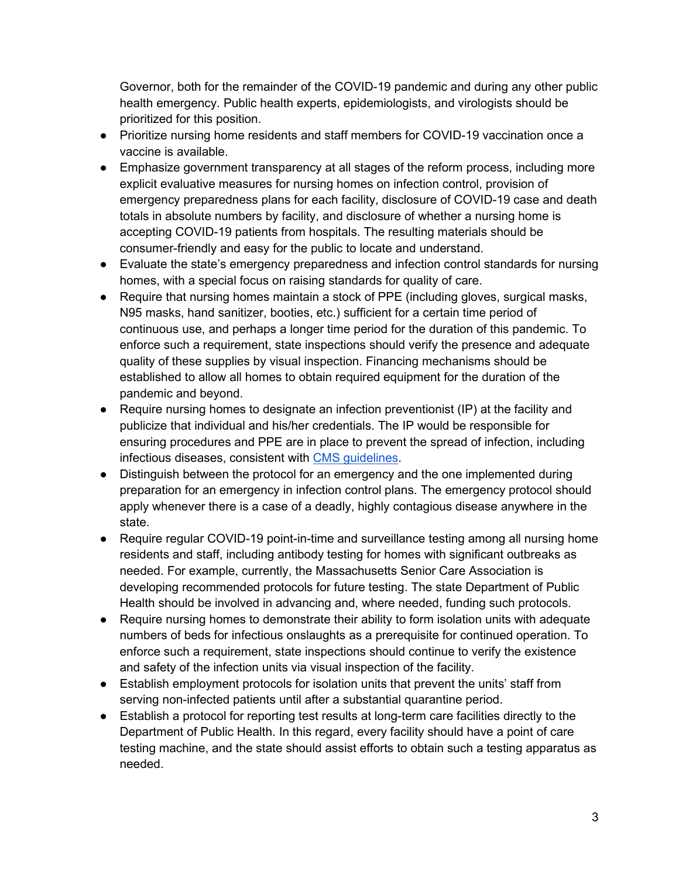Governor, both for the remainder of the COVID-19 pandemic and during any other public health emergency. Public health experts, epidemiologists, and virologists should be prioritized for this position.

- Prioritize nursing home residents and staff members for COVID-19 vaccination once a vaccine is available.
- Emphasize government transparency at all stages of the reform process, including more explicit evaluative measures for nursing homes on infection control, provision of emergency preparedness plans for each facility, disclosure of COVID-19 case and death totals in absolute numbers by facility, and disclosure of whether a nursing home is accepting COVID-19 patients from hospitals. The resulting materials should be consumer-friendly and easy for the public to locate and understand.
- Evaluate the state's emergency preparedness and infection control standards for nursing homes, with a special focus on raising standards for quality of care.
- Require that nursing homes maintain a stock of PPE (including gloves, surgical masks, N95 masks, hand sanitizer, booties, etc.) sufficient for a certain time period of continuous use, and perhaps a longer time period for the duration of this pandemic. To enforce such a requirement, state inspections should verify the presence and adequate quality of these supplies by visual inspection. Financing mechanisms should be established to allow all homes to obtain required equipment for the duration of the pandemic and beyond.
- Require nursing homes to designate an infection preventionist (IP) at the facility and publicize that individual and his/her credentials. The IP would be responsible for ensuring procedures and PPE are in place to prevent the spread of infection, including infectious diseases, consistent with [CMS guidelines.](https://www.cms.gov/Medicare/Provider-Enrollment-and-Certification/SurveyCertificationGenInfo/Downloads/QSO19-10-NH.pdf)
- Distinguish between the protocol for an emergency and the one implemented during preparation for an emergency in infection control plans. The emergency protocol should apply whenever there is a case of a deadly, highly contagious disease anywhere in the state.
- Require regular COVID-19 point-in-time and surveillance testing among all nursing home residents and staff, including antibody testing for homes with significant outbreaks as needed. For example, currently, the Massachusetts Senior Care Association is developing recommended protocols for future testing. The state Department of Public Health should be involved in advancing and, where needed, funding such protocols.
- Require nursing homes to demonstrate their ability to form isolation units with adequate numbers of beds for infectious onslaughts as a prerequisite for continued operation. To enforce such a requirement, state inspections should continue to verify the existence and safety of the infection units via visual inspection of the facility.
- Establish employment protocols for isolation units that prevent the units' staff from serving non-infected patients until after a substantial quarantine period.
- Establish a protocol for reporting test results at long-term care facilities directly to the Department of Public Health. In this regard, every facility should have a point of care testing machine, and the state should assist efforts to obtain such a testing apparatus as needed.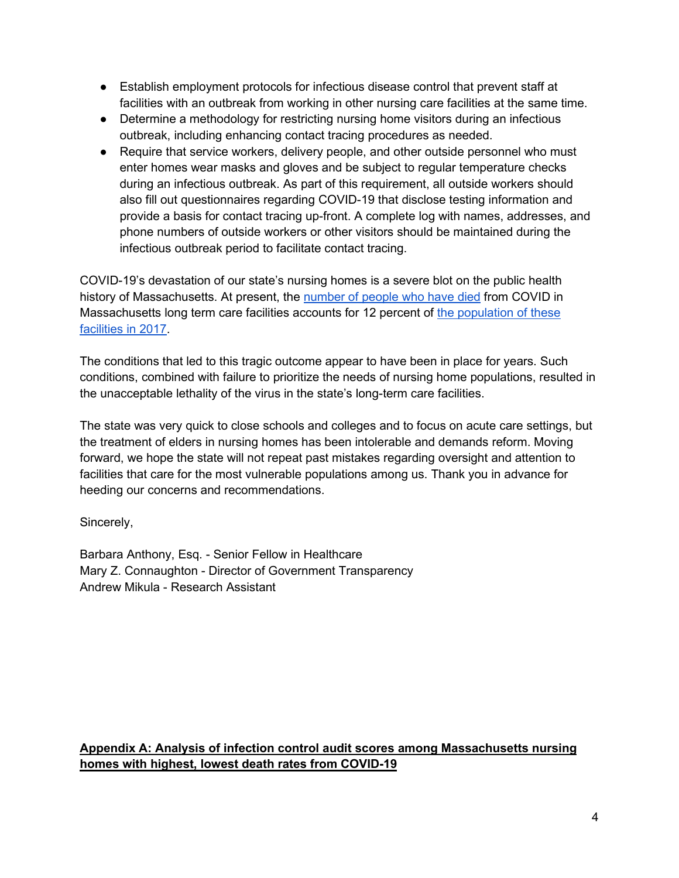- Establish employment protocols for infectious disease control that prevent staff at facilities with an outbreak from working in other nursing care facilities at the same time.
- Determine a methodology for restricting nursing home visitors during an infectious outbreak, including enhancing contact tracing procedures as needed.
- Require that service workers, delivery people, and other outside personnel who must enter homes wear masks and gloves and be subject to regular temperature checks during an infectious outbreak. As part of this requirement, all outside workers should also fill out questionnaires regarding COVID-19 that disclose testing information and provide a basis for contact tracing up-front. A complete log with names, addresses, and phone numbers of outside workers or other visitors should be maintained during the infectious outbreak period to facilitate contact tracing.

COVID-19's devastation of our state's nursing homes is a severe blot on the public health history of Massachusetts. At present, the [number of people who have died](https://www.mass.gov/doc/covid-19-dashboard-june-24-2020/download) from COVID in Massachusetts long term care facilities accounts for 12 percent of [the population of these](https://www.milforddailynews.com/news/20191125/mass-nursing-homes-usage-rates-declining-operating-margins-plunging)  [facilities in 2017.](https://www.milforddailynews.com/news/20191125/mass-nursing-homes-usage-rates-declining-operating-margins-plunging)

The conditions that led to this tragic outcome appear to have been in place for years. Such conditions, combined with failure to prioritize the needs of nursing home populations, resulted in the unacceptable lethality of the virus in the state's long-term care facilities.

The state was very quick to close schools and colleges and to focus on acute care settings, but the treatment of elders in nursing homes has been intolerable and demands reform. Moving forward, we hope the state will not repeat past mistakes regarding oversight and attention to facilities that care for the most vulnerable populations among us. Thank you in advance for heeding our concerns and recommendations.

Sincerely,

Barbara Anthony, Esq. - Senior Fellow in Healthcare Mary Z. Connaughton - Director of Government Transparency Andrew Mikula - Research Assistant

## **Appendix A: Analysis of infection control audit scores among Massachusetts nursing homes with highest, lowest death rates from COVID-19**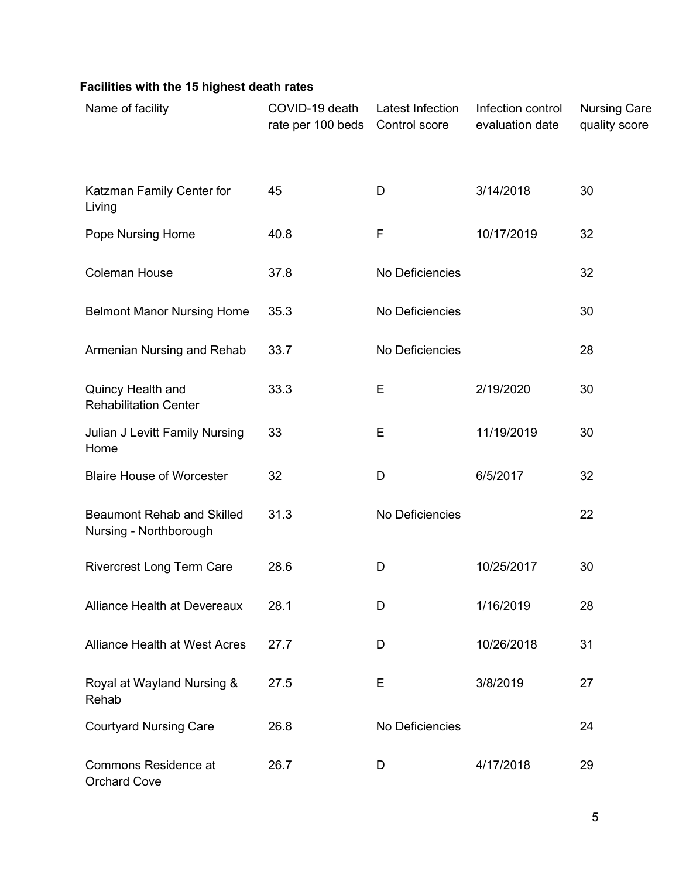## **Facilities with the 15 highest death rates**

| Name of facility                                            | COVID-19 death<br>rate per 100 beds | Latest Infection<br>Control score | Infection control<br>evaluation date | <b>Nursing Care</b><br>quality score |
|-------------------------------------------------------------|-------------------------------------|-----------------------------------|--------------------------------------|--------------------------------------|
| Katzman Family Center for<br>Living                         | 45                                  | D                                 | 3/14/2018                            | 30                                   |
| Pope Nursing Home                                           | 40.8                                | $\mathsf{F}$                      | 10/17/2019                           | 32                                   |
| <b>Coleman House</b>                                        | 37.8                                | No Deficiencies                   |                                      | 32                                   |
| <b>Belmont Manor Nursing Home</b>                           | 35.3                                | No Deficiencies                   |                                      | 30                                   |
| Armenian Nursing and Rehab                                  | 33.7                                | No Deficiencies                   |                                      | 28                                   |
| Quincy Health and<br><b>Rehabilitation Center</b>           | 33.3                                | Е                                 | 2/19/2020                            | 30                                   |
| Julian J Levitt Family Nursing<br>Home                      | 33                                  | Е                                 | 11/19/2019                           | 30                                   |
| <b>Blaire House of Worcester</b>                            | 32                                  | D                                 | 6/5/2017                             | 32                                   |
| <b>Beaumont Rehab and Skilled</b><br>Nursing - Northborough | 31.3                                | No Deficiencies                   |                                      | 22                                   |
| <b>Rivercrest Long Term Care</b>                            | 28.6                                | D                                 | 10/25/2017                           | 30                                   |
| Alliance Health at Devereaux                                | 28.1                                | D                                 | 1/16/2019                            | 28                                   |
| <b>Alliance Health at West Acres</b>                        | 27.7                                | D                                 | 10/26/2018                           | 31                                   |
| Royal at Wayland Nursing &<br>Rehab                         | 27.5                                | Е                                 | 3/8/2019                             | 27                                   |
| <b>Courtyard Nursing Care</b>                               | 26.8                                | No Deficiencies                   |                                      | 24                                   |
| <b>Commons Residence at</b><br><b>Orchard Cove</b>          | 26.7                                | D                                 | 4/17/2018                            | 29                                   |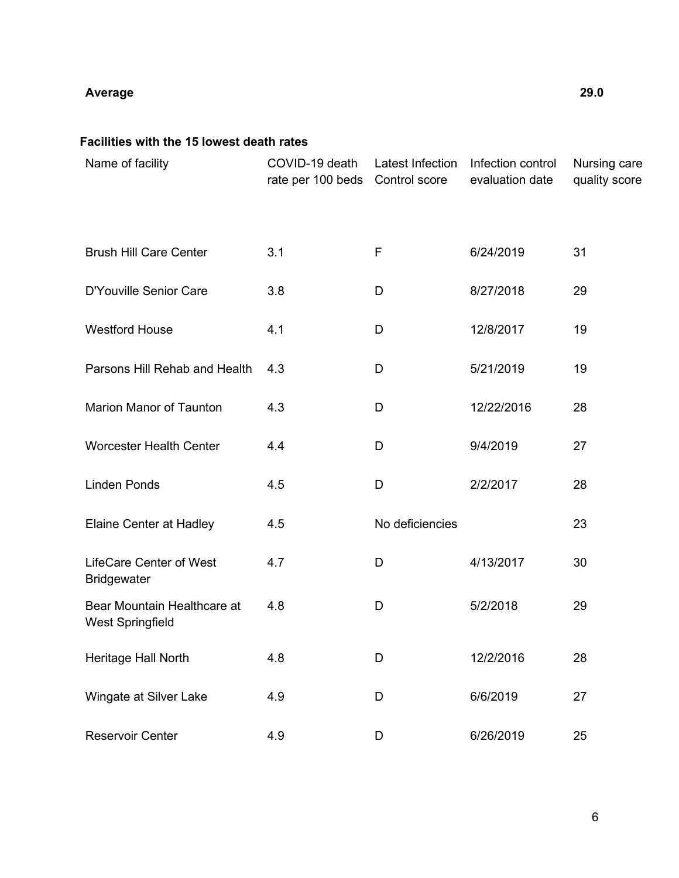## **Average 29.0**

## **Facilities with the 15 lowest death rates**

| Name of facility                                       | COVID-19 death<br>rate per 100 beds | Latest Infection<br>Control score | Infection control<br>evaluation date | Nursing care<br>quality score |
|--------------------------------------------------------|-------------------------------------|-----------------------------------|--------------------------------------|-------------------------------|
| <b>Brush Hill Care Center</b>                          | 3.1                                 | $\mathsf F$                       | 6/24/2019                            | 31                            |
| D'Youville Senior Care                                 | 3.8                                 | D                                 | 8/27/2018                            | 29                            |
| <b>Westford House</b>                                  | 4.1                                 | D                                 | 12/8/2017                            | 19                            |
| Parsons Hill Rehab and Health                          | 4.3                                 | D                                 | 5/21/2019                            | 19                            |
| <b>Marion Manor of Taunton</b>                         | 4.3                                 | D                                 | 12/22/2016                           | 28                            |
| <b>Worcester Health Center</b>                         | 4.4                                 | D                                 | 9/4/2019                             | 27                            |
| <b>Linden Ponds</b>                                    | 4.5                                 | D                                 | 2/2/2017                             | 28                            |
| Elaine Center at Hadley                                | 4.5                                 | No deficiencies                   |                                      | 23                            |
| <b>LifeCare Center of West</b><br><b>Bridgewater</b>   | 4.7                                 | D                                 | 4/13/2017                            | 30                            |
| Bear Mountain Healthcare at<br><b>West Springfield</b> | 4.8                                 | D                                 | 5/2/2018                             | 29                            |
| Heritage Hall North                                    | 4.8                                 | D                                 | 12/2/2016                            | 28                            |
| Wingate at Silver Lake                                 | 4.9                                 | D                                 | 6/6/2019                             | 27                            |
| <b>Reservoir Center</b>                                | 4.9                                 | D                                 | 6/26/2019                            | 25                            |